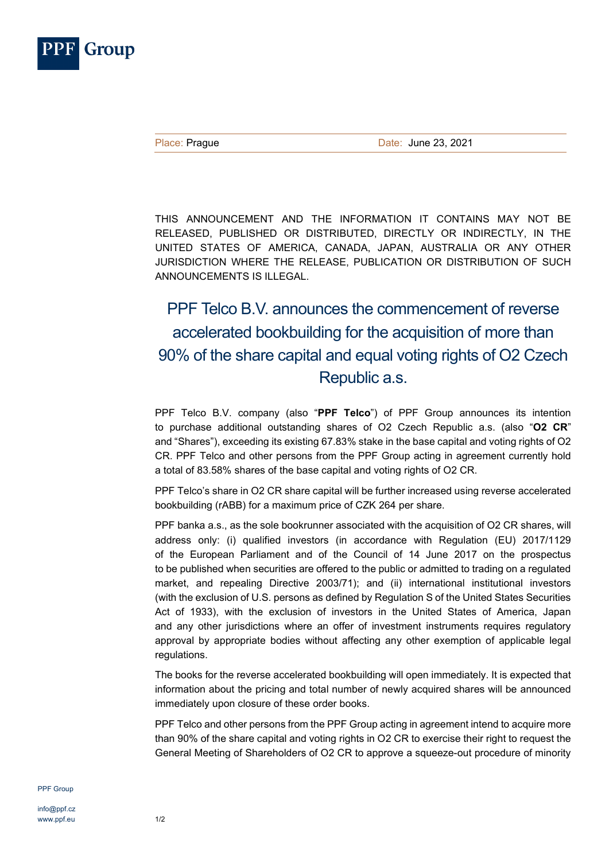

THIS ANNOUNCEMENT AND THE INFORMATION IT CONTAINS MAY NOT BE RELEASED, PUBLISHED OR DISTRIBUTED, DIRECTLY OR INDIRECTLY, IN THE UNITED STATES OF AMERICA, CANADA, JAPAN, AUSTRALIA OR ANY OTHER JURISDICTION WHERE THE RELEASE, PUBLICATION OR DISTRIBUTION OF SUCH ANNOUNCEMENTS IS ILLEGAL.

## PPF Telco B.V. announces the commencement of reverse accelerated bookbuilding for the acquisition of more than 90% of the share capital and equal voting rights of O2 Czech Republic a.s.

PPF Telco B.V. company (also "**PPF Telco**") of PPF Group announces its intention to purchase additional outstanding shares of O2 Czech Republic a.s. (also "**O2 CR**" and "Shares"), exceeding its existing 67.83% stake in the base capital and voting rights of O2 CR. PPF Telco and other persons from the PPF Group acting in agreement currently hold a total of 83.58% shares of the base capital and voting rights of O2 CR.

PPF Telco's share in O2 CR share capital will be further increased using reverse accelerated bookbuilding (rABB) for a maximum price of CZK 264 per share.

PPF banka a.s., as the sole bookrunner associated with the acquisition of O2 CR shares, will address only: (i) qualified investors (in accordance with Regulation (EU) 2017/1129 of the European Parliament and of the Council of 14 June 2017 on the prospectus to be published when securities are offered to the public or admitted to trading on a regulated market, and repealing Directive 2003/71); and (ii) international institutional investors (with the exclusion of U.S. persons as defined by Regulation S of the United States Securities Act of 1933), with the exclusion of investors in the United States of America, Japan and any other jurisdictions where an offer of investment instruments requires regulatory approval by appropriate bodies without affecting any other exemption of applicable legal regulations.

The books for the reverse accelerated bookbuilding will open immediately. It is expected that information about the pricing and total number of newly acquired shares will be announced immediately upon closure of these order books.

PPF Telco and other persons from the PPF Group acting in agreement intend to acquire more than 90% of the share capital and voting rights in O2 CR to exercise their right to request the General Meeting of Shareholders of O2 CR to approve a squeeze-out procedure of minority

PPF Group